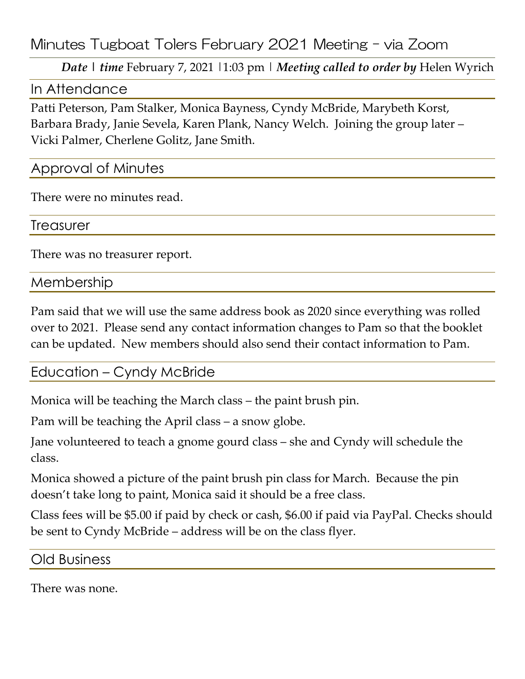Minutes Tugboat Tolers February 2021 Meeting – via Zoom

*Date | time* February 7, 2021 |1:03 pm | *Meeting called to order by* Helen Wyrich

#### In Attendance

Patti Peterson, Pam Stalker, Monica Bayness, Cyndy McBride, Marybeth Korst, Barbara Brady, Janie Sevela, Karen Plank, Nancy Welch. Joining the group later – Vicki Palmer, Cherlene Golitz, Jane Smith.

### Approval of Minutes

There were no minutes read.

**Treasurer** 

There was no treasurer report.

Membership

Pam said that we will use the same address book as 2020 since everything was rolled over to 2021. Please send any contact information changes to Pam so that the booklet can be updated. New members should also send their contact information to Pam.

# Education – Cyndy McBride

Monica will be teaching the March class – the paint brush pin.

Pam will be teaching the April class – a snow globe.

Jane volunteered to teach a gnome gourd class – she and Cyndy will schedule the class.

Monica showed a picture of the paint brush pin class for March. Because the pin doesn't take long to paint, Monica said it should be a free class.

Class fees will be \$5.00 if paid by check or cash, \$6.00 if paid via PayPal. Checks should be sent to Cyndy McBride – address will be on the class flyer.

Old Business

There was none.